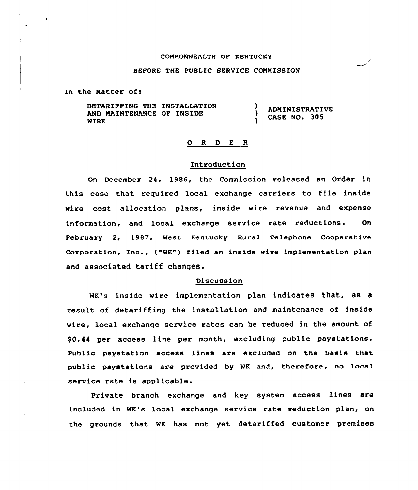# COMMONWEALTH OF KENTUCKY

# BEFORE THE PUSLIC SERVICE COMMISSION

In the Matter of:

DETARIPPING THE INSTALLATION AND MAINTENANCE OF INSIDE WIRE **ADMINISTRATIVE** ) CASE NO. 305

## ORDER

#### Introduction

On December 24, 1986, the Commission released an Order in this case that required local exchange carriers to file inside wire cost allocation plans, inside wire revenue and expense information, and local exchange service rate reductions. On Pebruaxy 2, 1987, West Kentucky Rural Telephone Cooperative Corporation, Inc., ("WK") filed an inside wire implementation plan and associated tariff changes.

#### Discussion

wK's inside wire implementation plan indicates that, as a result of detariffing the installation and maintenance of inside wire, local exchange service rates can be reduced in the amount of \$0.44 per access line per month, excluding public paystations. Public paystation access lines are excluhed on the basis that public paystations are provided by wK and, therefoxe, no local service rate is applicable.

Private branch exchange and key system access lines are included in WK's local exchange service rate reduction plan, on the grounds that WK has not yet detariffed customer premises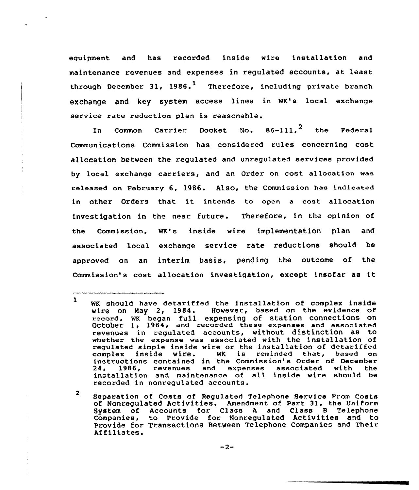equipment and has recorded inside wire installation and maintenance revenues and expenses in regulated accounts, at least through December 31, 1986.<sup>1</sup> Therefore, including private branch eXChange and key SyStem access lines in WK's local exchange service rate reduction plan is reasonable.

In Common Carrier Docket No.  $86-111$ ,  $^2$  the Federal Communications Commission has considered rules concerning cost allocation between the regulated and unregulated services provided by local exchange carriers, and an Order on cost allocation was released on February 6, 1986. Also, the Commission has indicated in other Orders that it intends to open a cost allocation investigation in the near future. Therefore, in the opinion of the commission, wK's inside wire implementation plan and associated local exchange service rate reductions should be approved on an interim basis, pending the outcome of the Commission' cost allccation investigation, except insofar as it

<sup>1</sup> WK should have detariffed the installation of complex inside<br>wire on May 2, 1984. However, based on the evidence of However, based on the evidence of record, WK began full expensing of station connections on October 1, 1984, and recorded these expenses and associated revenues in regulated accounts, without distinction as to whether the expense was associated with the installation of regulated simple inside wire or the installation of detariffed complex inside wire. WK is reminded that, based or complex inside wire. WR is reminded that, based on<br>instructions contained in the Commission's Order of December<br>24, 1986, revenues and expenses associated with the expenses associated installation and maintenance of all inside wire should be recorded in nonregulated accounts.

<sup>2</sup> Separation of Costs of Regulated Telephone Service From Costs of Nonregulated Activities. Amendment of Part 31, the Uniform System of Accounts for Class <sup>A</sup> and Class 8 Telephone Companies, to Provide for Nonregulated Activities and to Provide for Transactions Between Telephone Companies and Their Af filiates.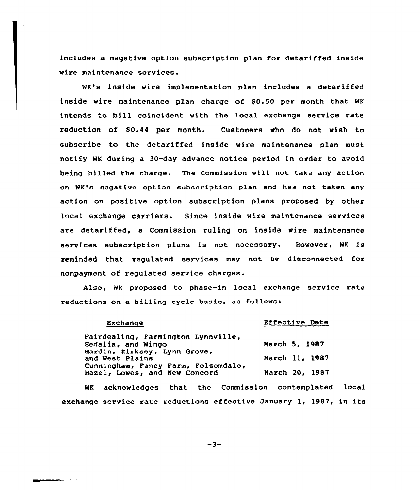includes a negative option subscription plan for detariffed inside wire maintenance services.

WK's inside wire implementation plan includes a detariffed inside wire maintenance plan charge of \$0.50 per month that wK intends to bill coincident with the local exchange service rate reduction of \$0.44 per month. Customers who do not vish to subscribe to the detariffed inside wire maintenance plan must notify WK during a 30-day advance notice period in order to avoid being billed the charge. The Commission will not take any action on WK's negative option subscription plan and has not taken any action on positive option subscription plans proposed by other local exchange carriers. Since inside wire maintenance services are detariffed, a Commission ruling on inside wire maintenance services subscription plans is not necessary. Bovever, WK is reminded that regulated services may not be disconnected for nonpayment of regulated service charges.

Also, WK proposed to phase-in local exchange service rate reductions on a billing cycle basis, as follows:

Exchange

## Effective Date

Fairdealing, Farmington Lynnville, Sedalia, and Wingo Hardin, Kirksey, Lynn Grove, and West Plains Cunningham, Fancy Farm, Folsomdale, Hazel, Lowes, and New Concord March 5, 1987 March ll, <sup>1987</sup> March 20, 1987

WK acknowledges that the Commission contemplated local exchange service rate reductions effective January 1, 1987, in its

 $-3-$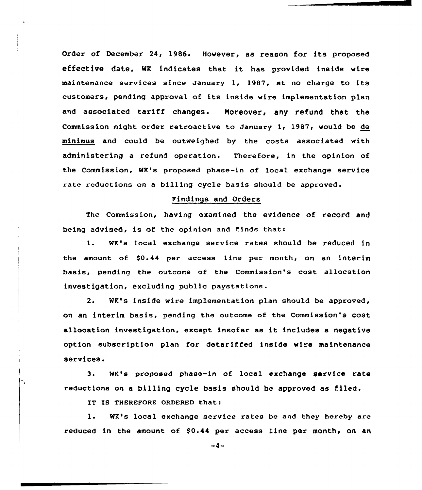Order of December 24, 1986. However, as reason for its proposed effeCtive date, WK indicates that it has provided inside wire maintenance services since January 1, 19B7, at no charge to its customers, pending approval of its inside wire implementation plan and associated tariff changes. Moreover, any refund that the Commission might order retroactive to January 1, 1987, would be de minimus and could be outweighed by the costs associated with administering a refund operation. Therefore, in the opinion of the Commission, WK's proposed phase-in of local exchange service rate reductions on a billing cycle basis should be approved.

### Findings and Orders

The Commission, having examined the evidence of record and being advised, is of the opinion and finds that:

1. WK's local exchange service rates should be reduced in the amount of 80.44 per access line per month, on an interim basis< pending the outcome of the Commission's cost allocation investigation, excluding public paystations.

2. WK's inside wire implementation plan should be approved, on an interim basis, pending the outcome of the Commission's cost allocation investigation, except insofar as it includes <sup>a</sup> negative option subscription plan for detariffed inside wire maintenance services.

3. wK's proposed phase-in of local exchange service rate reductions on <sup>a</sup> billing cycle basis should be approved as filed.

IT IS THEREFORE ORDERED that:

٠.

1. WK's local exchange service rates be and they hereby are reduced in the amount of \$0.44 per access line per month, on an

 $-4-$